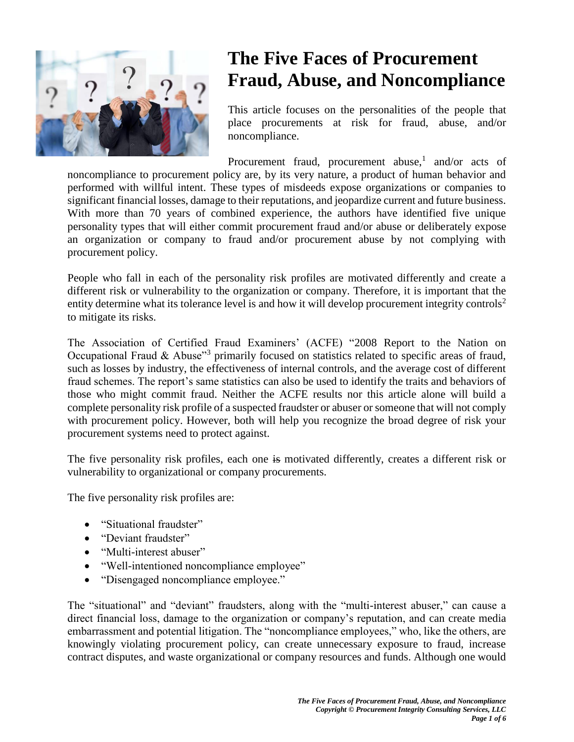

# **The Five Faces of Procurement Fraud, Abuse, and Noncompliance**

This article focuses on the personalities of the people that place procurements at risk for fraud, abuse, and/or noncompliance.

Procurement fraud, procurement abuse, $<sup>1</sup>$  and/or acts of</sup> noncompliance to procurement policy are, by its very nature, a product of human behavior and performed with willful intent. These types of misdeeds expose organizations or companies to significant financial losses, damage to their reputations, and jeopardize current and future business. With more than 70 years of combined experience, the authors have identified five unique personality types that will either commit procurement fraud and/or abuse or deliberately expose an organization or company to fraud and/or procurement abuse by not complying with procurement policy.

People who fall in each of the personality risk profiles are motivated differently and create a different risk or vulnerability to the organization or company. Therefore, it is important that the entity determine what its tolerance level is and how it will develop procurement integrity controls<sup>2</sup> to mitigate its risks.

The Association of Certified Fraud Examiners' (ACFE) "2008 Report to the Nation on Occupational Fraud & Abuse<sup>33</sup> primarily focused on statistics related to specific areas of fraud, such as losses by industry, the effectiveness of internal controls, and the average cost of different fraud schemes. The report's same statistics can also be used to identify the traits and behaviors of those who might commit fraud. Neither the ACFE results nor this article alone will build a complete personality risk profile of a suspected fraudster or abuser or someone that will not comply with procurement policy. However, both will help you recognize the broad degree of risk your procurement systems need to protect against.

The five personality risk profiles, each one is motivated differently, creates a different risk or vulnerability to organizational or company procurements.

The five personality risk profiles are:

- "Situational fraudster"
- "Deviant fraudster"
- "Multi-interest abuser"
- "Well-intentioned noncompliance employee"
- "Disengaged noncompliance employee."

The "situational" and "deviant" fraudsters, along with the "multi-interest abuser," can cause a direct financial loss, damage to the organization or company's reputation, and can create media embarrassment and potential litigation. The "noncompliance employees," who, like the others, are knowingly violating procurement policy, can create unnecessary exposure to fraud, increase contract disputes, and waste organizational or company resources and funds. Although one would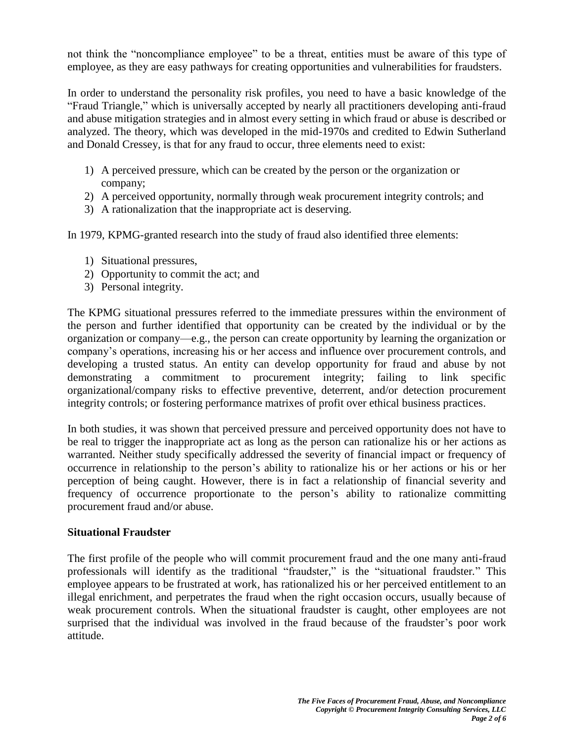not think the "noncompliance employee" to be a threat, entities must be aware of this type of employee, as they are easy pathways for creating opportunities and vulnerabilities for fraudsters.

In order to understand the personality risk profiles, you need to have a basic knowledge of the "Fraud Triangle," which is universally accepted by nearly all practitioners developing anti-fraud and abuse mitigation strategies and in almost every setting in which fraud or abuse is described or analyzed. The theory, which was developed in the mid-1970s and credited to Edwin Sutherland and Donald Cressey, is that for any fraud to occur, three elements need to exist:

- 1) A perceived pressure, which can be created by the person or the organization or company;
- 2) A perceived opportunity, normally through weak procurement integrity controls; and
- 3) A rationalization that the inappropriate act is deserving.

In 1979, KPMG-granted research into the study of fraud also identified three elements:

- 1) Situational pressures,
- 2) Opportunity to commit the act; and
- 3) Personal integrity.

The KPMG situational pressures referred to the immediate pressures within the environment of the person and further identified that opportunity can be created by the individual or by the organization or company—e.g., the person can create opportunity by learning the organization or company's operations, increasing his or her access and influence over procurement controls, and developing a trusted status. An entity can develop opportunity for fraud and abuse by not demonstrating a commitment to procurement integrity; failing to link specific organizational/company risks to effective preventive, deterrent, and/or detection procurement integrity controls; or fostering performance matrixes of profit over ethical business practices.

In both studies, it was shown that perceived pressure and perceived opportunity does not have to be real to trigger the inappropriate act as long as the person can rationalize his or her actions as warranted. Neither study specifically addressed the severity of financial impact or frequency of occurrence in relationship to the person's ability to rationalize his or her actions or his or her perception of being caught. However, there is in fact a relationship of financial severity and frequency of occurrence proportionate to the person's ability to rationalize committing procurement fraud and/or abuse.

# **Situational Fraudster**

The first profile of the people who will commit procurement fraud and the one many anti-fraud professionals will identify as the traditional "fraudster," is the "situational fraudster*.*" This employee appears to be frustrated at work, has rationalized his or her perceived entitlement to an illegal enrichment, and perpetrates the fraud when the right occasion occurs, usually because of weak procurement controls. When the situational fraudster is caught, other employees are not surprised that the individual was involved in the fraud because of the fraudster's poor work attitude.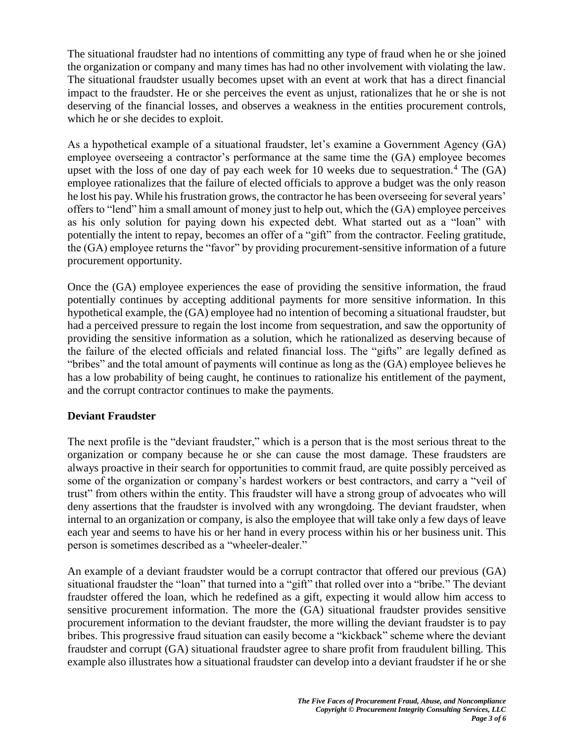The situational fraudster had no intentions of committing any type of fraud when he or she joined the organization or company and many times has had no other involvement with violating the law. The situational fraudster usually becomes upset with an event at work that has a direct financial impact to the fraudster. He or she perceives the event as unjust, rationalizes that he or she is not deserving of the financial losses, and observes a weakness in the entities procurement controls, which he or she decides to exploit.

As a hypothetical example of a situational fraudster, let's examine a Government Agency (GA) employee overseeing a contractor's performance at the same time the (GA) employee becomes upset with the loss of one day of pay each week for 10 weeks due to sequestration.<sup>4</sup> The  $(GA)$ employee rationalizes that the failure of elected officials to approve a budget was the only reason he lost his pay. While his frustration grows, the contractor he has been overseeing for several years' offers to "lend" him a small amount of money just to help out, which the (GA) employee perceives as his only solution for paying down his expected debt. What started out as a "loan" with potentially the intent to repay, becomes an offer of a "gift" from the contractor. Feeling gratitude, the (GA) employee returns the "favor" by providing procurement-sensitive information of a future procurement opportunity.

Once the (GA) employee experiences the ease of providing the sensitive information, the fraud potentially continues by accepting additional payments for more sensitive information. In this hypothetical example, the (GA) employee had no intention of becoming a situational fraudster, but had a perceived pressure to regain the lost income from sequestration, and saw the opportunity of providing the sensitive information as a solution, which he rationalized as deserving because of the failure of the elected officials and related financial loss. The "gifts" are legally defined as "bribes" and the total amount of payments will continue as long as the (GA) employee believes he has a low probability of being caught, he continues to rationalize his entitlement of the payment, and the corrupt contractor continues to make the payments.

# **Deviant Fraudster**

The next profile is the "deviant fraudster," which is a person that is the most serious threat to the organization or company because he or she can cause the most damage. These fraudsters are always proactive in their search for opportunities to commit fraud, are quite possibly perceived as some of the organization or company's hardest workers or best contractors, and carry a "veil of trust" from others within the entity. This fraudster will have a strong group of advocates who will deny assertions that the fraudster is involved with any wrongdoing. The deviant fraudster, when internal to an organization or company, is also the employee that will take only a few days of leave each year and seems to have his or her hand in every process within his or her business unit. This person is sometimes described as a "wheeler-dealer."

An example of a deviant fraudster would be a corrupt contractor that offered our previous (GA) situational fraudster the "loan" that turned into a "gift" that rolled over into a "bribe." The deviant fraudster offered the loan, which he redefined as a gift, expecting it would allow him access to sensitive procurement information. The more the (GA) situational fraudster provides sensitive procurement information to the deviant fraudster, the more willing the deviant fraudster is to pay bribes. This progressive fraud situation can easily become a "kickback" scheme where the deviant fraudster and corrupt (GA) situational fraudster agree to share profit from fraudulent billing. This example also illustrates how a situational fraudster can develop into a deviant fraudster if he or she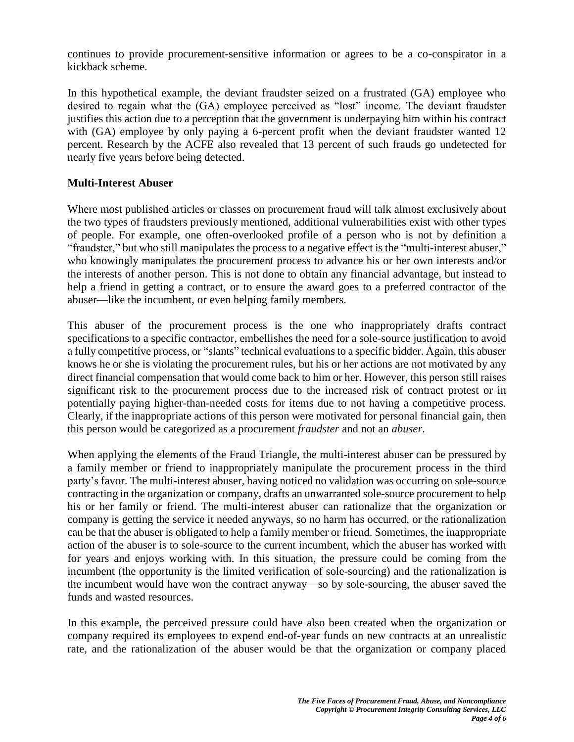continues to provide procurement-sensitive information or agrees to be a co-conspirator in a kickback scheme.

In this hypothetical example, the deviant fraudster seized on a frustrated (GA) employee who desired to regain what the (GA) employee perceived as "lost" income. The deviant fraudster justifies this action due to a perception that the government is underpaying him within his contract with (GA) employee by only paying a 6-percent profit when the deviant fraudster wanted 12 percent. Research by the ACFE also revealed that 13 percent of such frauds go undetected for nearly five years before being detected.

# **Multi-Interest Abuser**

Where most published articles or classes on procurement fraud will talk almost exclusively about the two types of fraudsters previously mentioned, additional vulnerabilities exist with other types of people. For example, one often-overlooked profile of a person who is not by definition a "fraudster," but who still manipulates the process to a negative effect is the "multi-interest abuser," who knowingly manipulates the procurement process to advance his or her own interests and/or the interests of another person. This is not done to obtain any financial advantage, but instead to help a friend in getting a contract, or to ensure the award goes to a preferred contractor of the abuser—like the incumbent, or even helping family members.

This abuser of the procurement process is the one who inappropriately drafts contract specifications to a specific contractor, embellishes the need for a sole-source justification to avoid a fully competitive process, or "slants" technical evaluationsto a specific bidder. Again, this abuser knows he or she is violating the procurement rules, but his or her actions are not motivated by any direct financial compensation that would come back to him or her. However, this person still raises significant risk to the procurement process due to the increased risk of contract protest or in potentially paying higher-than-needed costs for items due to not having a competitive process. Clearly, if the inappropriate actions of this person were motivated for personal financial gain, then this person would be categorized as a procurement *fraudster* and not an *abuser*.

When applying the elements of the Fraud Triangle, the multi-interest abuser can be pressured by a family member or friend to inappropriately manipulate the procurement process in the third party's favor. The multi-interest abuser, having noticed no validation was occurring on sole-source contracting in the organization or company, drafts an unwarranted sole-source procurement to help his or her family or friend. The multi-interest abuser can rationalize that the organization or company is getting the service it needed anyways, so no harm has occurred, or the rationalization can be that the abuser is obligated to help a family member or friend. Sometimes, the inappropriate action of the abuser is to sole-source to the current incumbent, which the abuser has worked with for years and enjoys working with. In this situation, the pressure could be coming from the incumbent (the opportunity is the limited verification of sole-sourcing) and the rationalization is the incumbent would have won the contract anyway—so by sole-sourcing, the abuser saved the funds and wasted resources.

In this example, the perceived pressure could have also been created when the organization or company required its employees to expend end-of-year funds on new contracts at an unrealistic rate, and the rationalization of the abuser would be that the organization or company placed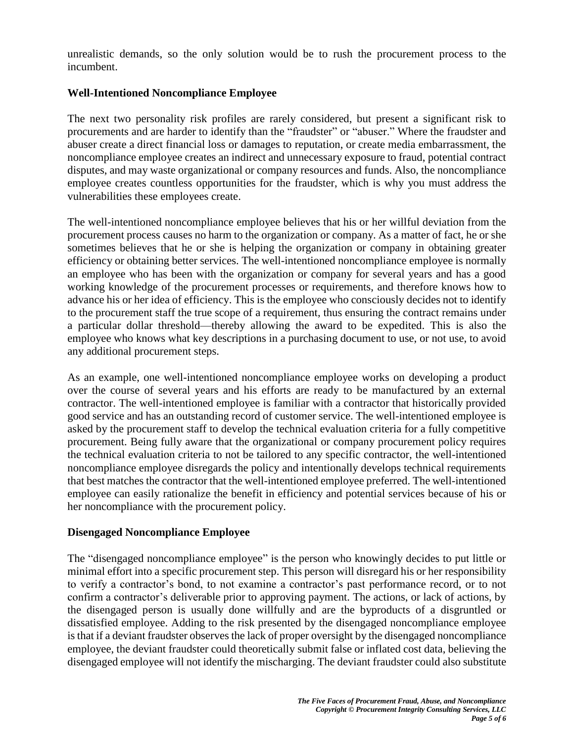unrealistic demands, so the only solution would be to rush the procurement process to the incumbent.

# **Well-Intentioned Noncompliance Employee**

The next two personality risk profiles are rarely considered, but present a significant risk to procurements and are harder to identify than the "fraudster" or "abuser." Where the fraudster and abuser create a direct financial loss or damages to reputation, or create media embarrassment, the noncompliance employee creates an indirect and unnecessary exposure to fraud, potential contract disputes, and may waste organizational or company resources and funds. Also, the noncompliance employee creates countless opportunities for the fraudster, which is why you must address the vulnerabilities these employees create.

The well-intentioned noncompliance employee believes that his or her willful deviation from the procurement process causes no harm to the organization or company. As a matter of fact, he or she sometimes believes that he or she is helping the organization or company in obtaining greater efficiency or obtaining better services. The well-intentioned noncompliance employee is normally an employee who has been with the organization or company for several years and has a good working knowledge of the procurement processes or requirements, and therefore knows how to advance his or her idea of efficiency. This is the employee who consciously decides not to identify to the procurement staff the true scope of a requirement, thus ensuring the contract remains under a particular dollar threshold—thereby allowing the award to be expedited. This is also the employee who knows what key descriptions in a purchasing document to use, or not use, to avoid any additional procurement steps.

As an example, one well-intentioned noncompliance employee works on developing a product over the course of several years and his efforts are ready to be manufactured by an external contractor. The well-intentioned employee is familiar with a contractor that historically provided good service and has an outstanding record of customer service. The well-intentioned employee is asked by the procurement staff to develop the technical evaluation criteria for a fully competitive procurement. Being fully aware that the organizational or company procurement policy requires the technical evaluation criteria to not be tailored to any specific contractor, the well-intentioned noncompliance employee disregards the policy and intentionally develops technical requirements that best matches the contractor that the well-intentioned employee preferred. The well-intentioned employee can easily rationalize the benefit in efficiency and potential services because of his or her noncompliance with the procurement policy.

# **Disengaged Noncompliance Employee**

The "disengaged noncompliance employee" is the person who knowingly decides to put little or minimal effort into a specific procurement step. This person will disregard his or her responsibility to verify a contractor's bond, to not examine a contractor's past performance record, or to not confirm a contractor's deliverable prior to approving payment. The actions, or lack of actions, by the disengaged person is usually done willfully and are the byproducts of a disgruntled or dissatisfied employee. Adding to the risk presented by the disengaged noncompliance employee is that if a deviant fraudster observes the lack of proper oversight by the disengaged noncompliance employee, the deviant fraudster could theoretically submit false or inflated cost data, believing the disengaged employee will not identify the mischarging. The deviant fraudster could also substitute